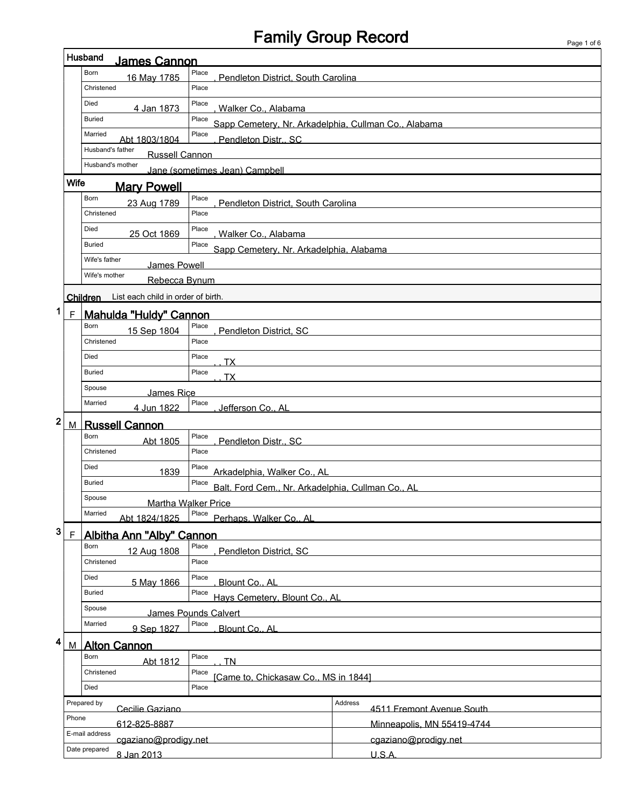## Family Group Record Page 1 of 6

|                      |                                              | Husband<br><b>James Cannon</b>                        |                                                               |         |                            |
|----------------------|----------------------------------------------|-------------------------------------------------------|---------------------------------------------------------------|---------|----------------------------|
|                      |                                              | Born<br>16 May 1785                                   | Place<br>Pendleton District, South Carolina                   |         |                            |
|                      |                                              | Christened                                            | Place                                                         |         |                            |
|                      |                                              | Died<br>4 Jan 1873                                    | Place<br>Walker Co., Alabama                                  |         |                            |
|                      |                                              | <b>Buried</b>                                         | Place<br>Sapp Cemetery, Nr. Arkadelphia, Cullman Co., Alabama |         |                            |
|                      |                                              | Married<br>Abt 1803/1804                              | Place<br>Pendleton Distr., SC                                 |         |                            |
|                      |                                              | Husband's father<br><b>Russell Cannon</b>             |                                                               |         |                            |
|                      |                                              | Husband's mother                                      | Jane (sometimes Jean) Campbell                                |         |                            |
|                      | Wife                                         | <b>Mary Powell</b>                                    |                                                               |         |                            |
|                      |                                              | Born<br>23 Aug 1789                                   | Place<br>Pendleton District. South Carolina                   |         |                            |
|                      |                                              | Christened                                            | Place                                                         |         |                            |
|                      |                                              | Died<br>25 Oct 1869                                   | Place<br>Walker Co., Alabama                                  |         |                            |
|                      |                                              | <b>Buried</b>                                         | Place<br>Sapp Cemetery, Nr. Arkadelphia, Alabama              |         |                            |
|                      |                                              | Wife's father<br>James Powell                         |                                                               |         |                            |
|                      |                                              | Wife's mother<br>Rebecca Bynum                        |                                                               |         |                            |
|                      |                                              | Children List each child in order of birth.           |                                                               |         |                            |
| 1                    | $\mathsf F$                                  | Mahulda "Huldy" Cannon                                |                                                               |         |                            |
|                      |                                              | Born<br>15 Sep 1804                                   | Place<br>Pendleton District, SC                               |         |                            |
|                      |                                              | Christened                                            | Place                                                         |         |                            |
|                      |                                              | Died                                                  | Place<br>ТX                                                   |         |                            |
|                      |                                              | <b>Buried</b>                                         | Place<br>тх                                                   |         |                            |
|                      |                                              | Spouse<br><b>James Rice</b>                           |                                                               |         |                            |
|                      |                                              | Married<br>4 Jun 1822                                 | Place<br>Jefferson Co., AL                                    |         |                            |
| 2                    | М                                            | <b>Russell Cannon</b>                                 |                                                               |         |                            |
|                      |                                              | Born<br>Abt 1805                                      | Place<br>Pendleton Distr., SC                                 |         |                            |
|                      |                                              | Christened                                            | Place                                                         |         |                            |
|                      |                                              | Died<br>1839                                          | Place<br>Arkadelphia, Walker Co., AL                          |         |                            |
|                      |                                              | <b>Buried</b>                                         | Place<br>Balt. Ford Cem., Nr. Arkadelphia, Cullman Co., AL    |         |                            |
|                      |                                              | Spouse                                                | Martha Walker Price                                           |         |                            |
|                      |                                              | Married<br>Abt 1824/1825                              | Place<br>Perhaps, Walker Co., AL                              |         |                            |
| 3                    | $\mathsf F$                                  |                                                       |                                                               |         |                            |
|                      |                                              | Albitha Ann "Alby" Cannon<br>Born<br>12 Aug 1808      | Place<br>Pendleton District, SC                               |         |                            |
|                      |                                              | Christened                                            | Place                                                         |         |                            |
|                      |                                              | Died<br>5 May 1866                                    | Place<br>Blount Co., AL                                       |         |                            |
|                      |                                              | <b>Buried</b>                                         | Place<br>Hays Cemetery, Blount Co., AL                        |         |                            |
|                      |                                              | Spouse                                                | James Pounds Calvert                                          |         |                            |
|                      |                                              | Married<br>9 Sep 1827                                 | Place<br>Blount Co., AL                                       |         |                            |
| 4                    | M                                            | <b>Alton Cannon</b>                                   |                                                               |         |                            |
|                      |                                              | Born<br>Abt 1812                                      | Place<br><b>TN</b>                                            |         |                            |
|                      |                                              | Christened<br>Place                                   |                                                               |         |                            |
|                      |                                              | [Came to, Chickasaw Co., MS in 1844]<br>Died<br>Place |                                                               |         |                            |
|                      |                                              | Prepared by<br>Cecilie Gaziano                        |                                                               | Address | 4511 Fremont Avenue South  |
|                      | Phone                                        | 612-825-8887                                          |                                                               |         | Minneapolis, MN 55419-4744 |
| E-mail address       |                                              |                                                       |                                                               |         |                            |
|                      | Date prepared                                |                                                       |                                                               |         |                            |
|                      | cgaziano@prodigy.net<br>cgaziano@prodigy.net |                                                       |                                                               |         |                            |
| 8 Jan 2013<br>U.S.A. |                                              |                                                       |                                                               |         |                            |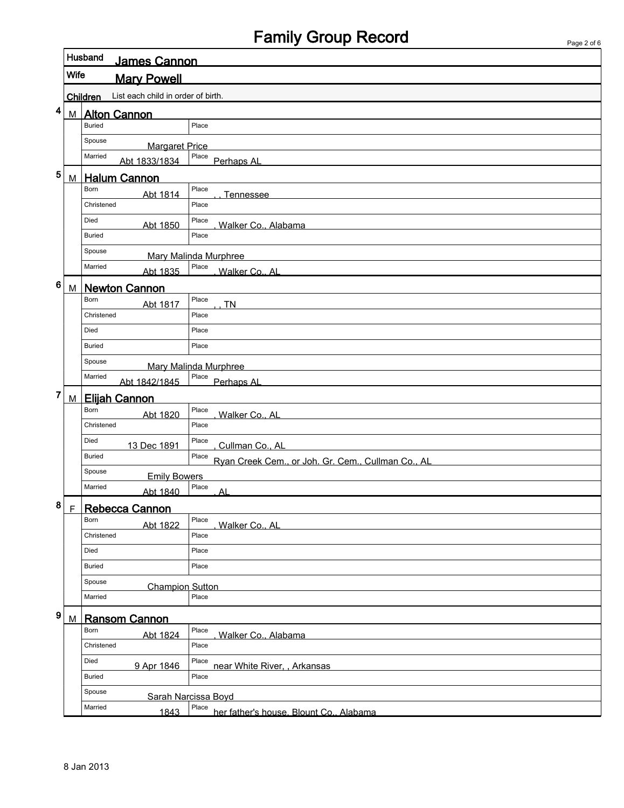## Family Group Record

|   |                                                |                                  | i ago z oro                                                 |  |  |  |  |
|---|------------------------------------------------|----------------------------------|-------------------------------------------------------------|--|--|--|--|
|   |                                                | Husband<br><b>James Cannon</b>   |                                                             |  |  |  |  |
|   | Wife<br><b>Mary Powell</b>                     |                                  |                                                             |  |  |  |  |
|   | List each child in order of birth.<br>Children |                                  |                                                             |  |  |  |  |
|   |                                                |                                  |                                                             |  |  |  |  |
| 4 | М                                              | <b>Alton Cannon</b>              |                                                             |  |  |  |  |
|   |                                                | <b>Buried</b>                    | Place                                                       |  |  |  |  |
|   |                                                | Spouse<br><b>Margaret Price</b>  |                                                             |  |  |  |  |
|   |                                                | Married<br>Abt 1833/1834         | Place<br>Perhaps Al                                         |  |  |  |  |
| 5 | M                                              | <b>Halum Cannon</b>              |                                                             |  |  |  |  |
|   |                                                | Born<br>Abt 1814                 | Place<br>Tennessee                                          |  |  |  |  |
|   |                                                | Christened                       | Place                                                       |  |  |  |  |
|   |                                                | Died                             | Place                                                       |  |  |  |  |
|   |                                                | Abt 1850<br><b>Buried</b>        | Walker Co., Alabama<br>Place                                |  |  |  |  |
|   |                                                |                                  |                                                             |  |  |  |  |
|   |                                                | Spouse                           | <b>Mary Malinda Murphree</b>                                |  |  |  |  |
|   |                                                | Married<br>Abt 1835              | Place<br>Walker Co., Al                                     |  |  |  |  |
| 6 | M                                              | <b>Newton Cannon</b>             |                                                             |  |  |  |  |
|   |                                                | Born<br>Abt 1817                 | Place<br><b>TN</b>                                          |  |  |  |  |
|   |                                                | Christened                       | Place                                                       |  |  |  |  |
|   |                                                | Died                             | Place                                                       |  |  |  |  |
|   |                                                | <b>Buried</b>                    | Place                                                       |  |  |  |  |
|   |                                                | Spouse                           |                                                             |  |  |  |  |
|   |                                                | Married                          | <b>Mary Malinda Murphree</b><br>Place                       |  |  |  |  |
| 7 |                                                | Abt 1842/1845                    | Perhaps AL                                                  |  |  |  |  |
|   | M                                              | <b>Elijah Cannon</b><br>Born     | Place                                                       |  |  |  |  |
|   |                                                | Abt 1820                         | Walker Co., AL                                              |  |  |  |  |
|   |                                                | Christened                       | Place                                                       |  |  |  |  |
|   |                                                | Died<br>13 Dec 1891              | Place<br>Cullman Co., AL                                    |  |  |  |  |
|   |                                                | <b>Buried</b>                    | Place<br>Ryan Creek Cem., or Joh. Gr. Cem., Cullman Co., AL |  |  |  |  |
|   |                                                | Spouse<br><b>Emily Bowers</b>    |                                                             |  |  |  |  |
|   |                                                | Married<br>Abt 1840              | Place<br>Al                                                 |  |  |  |  |
| 8 | $\mathsf F$                                    | Rebecca Cannon                   |                                                             |  |  |  |  |
|   |                                                | Born                             | Place                                                       |  |  |  |  |
|   |                                                | Abt 1822<br>Christened           | Walker Co., AL<br>Place                                     |  |  |  |  |
|   |                                                | Died                             | Place                                                       |  |  |  |  |
|   |                                                | <b>Buried</b>                    | Place                                                       |  |  |  |  |
|   |                                                |                                  |                                                             |  |  |  |  |
|   |                                                | Spouse<br><b>Champion Sutton</b> |                                                             |  |  |  |  |
|   |                                                | Married                          | Place                                                       |  |  |  |  |
| 9 | M                                              | <b>Ransom Cannon</b>             |                                                             |  |  |  |  |
|   |                                                | Born<br>Abt 1824                 | Place<br>Walker Co., Alabama                                |  |  |  |  |
|   |                                                | Christened                       | Place                                                       |  |  |  |  |
|   |                                                | Died<br>9 Apr 1846               | Place<br>near White River, , Arkansas                       |  |  |  |  |
|   |                                                | Buried                           | Place                                                       |  |  |  |  |
|   |                                                | Spouse                           | Sarah Narcissa Boyd                                         |  |  |  |  |
|   |                                                | Married                          | Place her father's house. Blount Co., Alabama               |  |  |  |  |
|   |                                                | 1843                             |                                                             |  |  |  |  |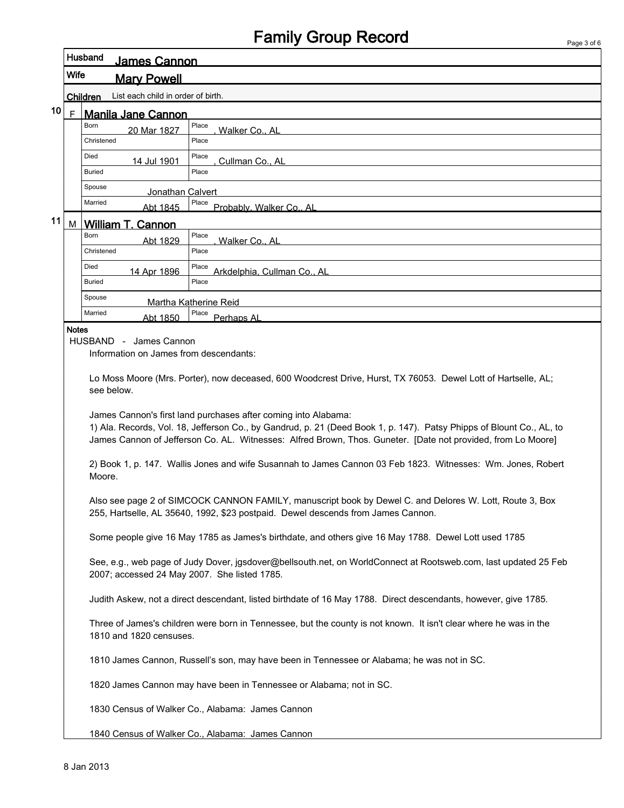|                                                       |                            | Husband<br>James Cannon                      |                                                                                                                                                                                             |  |
|-------------------------------------------------------|----------------------------|----------------------------------------------|---------------------------------------------------------------------------------------------------------------------------------------------------------------------------------------------|--|
|                                                       | Wife<br><b>Mary Powell</b> |                                              |                                                                                                                                                                                             |  |
| List each child in order of birth.<br><b>Children</b> |                            |                                              |                                                                                                                                                                                             |  |
| 10                                                    | $\mathsf{F}$               | <b>Manila Jane Cannon</b>                    |                                                                                                                                                                                             |  |
|                                                       |                            | <b>Born</b><br>20 Mar 1827                   | Place<br>Walker Co., AL                                                                                                                                                                     |  |
|                                                       |                            | Christened                                   | Place                                                                                                                                                                                       |  |
|                                                       |                            | Died<br>14 Jul 1901                          | Place<br>Cullman Co., AL                                                                                                                                                                    |  |
|                                                       |                            | Buried                                       | Place                                                                                                                                                                                       |  |
|                                                       |                            | Spouse<br>Jonathan Calvert                   |                                                                                                                                                                                             |  |
|                                                       |                            | Married<br>Abt 1845                          | Place<br>Probably, Walker Co., AL                                                                                                                                                           |  |
| 11                                                    | M                          | William T. Cannon                            |                                                                                                                                                                                             |  |
|                                                       |                            | <b>Born</b><br>Abt 1829                      | Place<br>Walker Co., AL                                                                                                                                                                     |  |
|                                                       |                            | Christened                                   | Place                                                                                                                                                                                       |  |
|                                                       |                            | Died<br>14 Apr 1896                          | Place<br>Arkdelphia, Cullman Co., AL                                                                                                                                                        |  |
|                                                       |                            | <b>Buried</b>                                | Place                                                                                                                                                                                       |  |
|                                                       |                            | Spouse                                       | Martha Katherine Reid                                                                                                                                                                       |  |
|                                                       |                            | Married<br>Abt 1850                          | Place<br>Perhaps AL                                                                                                                                                                         |  |
|                                                       | <b>Notes</b>               |                                              |                                                                                                                                                                                             |  |
|                                                       |                            | HUSBAND - James Cannon                       |                                                                                                                                                                                             |  |
|                                                       |                            | Information on James from descendants:       |                                                                                                                                                                                             |  |
|                                                       |                            |                                              | Lo Moss Moore (Mrs. Porter), now deceased, 600 Woodcrest Drive, Hurst, TX 76053. Dewel Lott of Hartselle, AL;                                                                               |  |
|                                                       |                            | see below.                                   |                                                                                                                                                                                             |  |
|                                                       |                            |                                              | James Cannon's first land purchases after coming into Alabama:<br>1) Ala. Records, Vol. 18, Jefferson Co., by Gandrud, p. 21 (Deed Book 1, p. 147). Patsy Phipps of Blount Co., AL, to      |  |
|                                                       |                            |                                              | James Cannon of Jefferson Co. AL. Witnesses: Alfred Brown, Thos. Guneter. [Date not provided, from Lo Moore]                                                                                |  |
|                                                       |                            | Moore.                                       | 2) Book 1, p. 147. Wallis Jones and wife Susannah to James Cannon 03 Feb 1823. Witnesses: Wm. Jones, Robert                                                                                 |  |
|                                                       |                            |                                              | Also see page 2 of SIMCOCK CANNON FAMILY, manuscript book by Dewel C. and Delores W. Lott, Route 3, Box<br>255, Hartselle, AL 35640, 1992, \$23 postpaid. Dewel descends from James Cannon. |  |
|                                                       |                            |                                              | Some people give 16 May 1785 as James's birthdate, and others give 16 May 1788. Dewel Lott used 1785                                                                                        |  |
|                                                       |                            | 2007; accessed 24 May 2007. She listed 1785. | See, e.g., web page of Judy Dover, jgsdover@bellsouth.net, on WorldConnect at Rootsweb.com, last updated 25 Feb                                                                             |  |
|                                                       |                            |                                              | Judith Askew, not a direct descendant, listed birthdate of 16 May 1788. Direct descendants, however, give 1785.                                                                             |  |
|                                                       |                            | 1810 and 1820 censuses.                      | Three of James's children were born in Tennessee, but the county is not known. It isn't clear where he was in the                                                                           |  |
|                                                       |                            |                                              | 1810 James Cannon, Russell's son, may have been in Tennessee or Alabama; he was not in SC.                                                                                                  |  |
|                                                       |                            |                                              | 1820 James Cannon may have been in Tennessee or Alabama; not in SC.                                                                                                                         |  |
|                                                       |                            |                                              | 1830 Census of Walker Co., Alabama: James Cannon                                                                                                                                            |  |
|                                                       |                            |                                              | 1840 Census of Walker Co., Alabama: James Cannon                                                                                                                                            |  |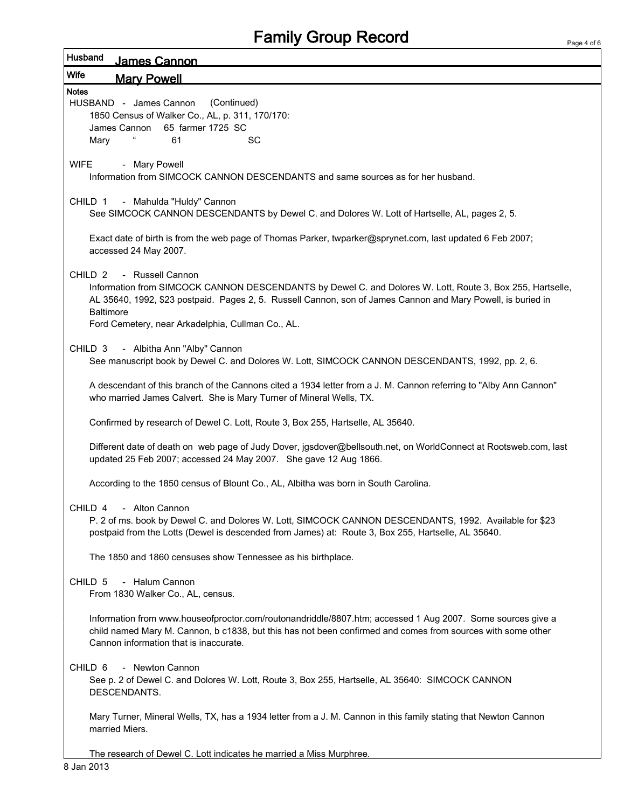## Family Group Record

| Husband            | James Cannon                                                                                                                                                                                                                                                        |
|--------------------|---------------------------------------------------------------------------------------------------------------------------------------------------------------------------------------------------------------------------------------------------------------------|
| Wife               | <b>Mary Powell</b>                                                                                                                                                                                                                                                  |
| <b>Notes</b>       |                                                                                                                                                                                                                                                                     |
|                    | HUSBAND - James Cannon<br>(Continued)                                                                                                                                                                                                                               |
|                    | 1850 Census of Walker Co., AL, p. 311, 170/170:                                                                                                                                                                                                                     |
|                    | 65 farmer 1725 SC<br>James Cannon                                                                                                                                                                                                                                   |
| Mary               | 61<br>SC                                                                                                                                                                                                                                                            |
| <b>WIFE</b>        | - Mary Powell                                                                                                                                                                                                                                                       |
|                    | Information from SIMCOCK CANNON DESCENDANTS and same sources as for her husband.                                                                                                                                                                                    |
| CHILD 1            | - Mahulda "Huldy" Cannon                                                                                                                                                                                                                                            |
|                    | See SIMCOCK CANNON DESCENDANTS by Dewel C. and Dolores W. Lott of Hartselle, AL, pages 2, 5.                                                                                                                                                                        |
|                    |                                                                                                                                                                                                                                                                     |
|                    | Exact date of birth is from the web page of Thomas Parker, twparker@sprynet.com, last updated 6 Feb 2007;<br>accessed 24 May 2007.                                                                                                                                  |
| CHILD <sub>2</sub> | - Russell Cannon                                                                                                                                                                                                                                                    |
|                    | Information from SIMCOCK CANNON DESCENDANTS by Dewel C. and Dolores W. Lott, Route 3, Box 255, Hartselle,<br>AL 35640, 1992, \$23 postpaid. Pages 2, 5. Russell Cannon, son of James Cannon and Mary Powell, is buried in                                           |
| <b>Baltimore</b>   | Ford Cemetery, near Arkadelphia, Cullman Co., AL.                                                                                                                                                                                                                   |
|                    |                                                                                                                                                                                                                                                                     |
| CHILD <sub>3</sub> | - Albitha Ann "Alby" Cannon                                                                                                                                                                                                                                         |
|                    | See manuscript book by Dewel C. and Dolores W. Lott, SIMCOCK CANNON DESCENDANTS, 1992, pp. 2, 6.                                                                                                                                                                    |
|                    | A descendant of this branch of the Cannons cited a 1934 letter from a J. M. Cannon referring to "Alby Ann Cannon"<br>who married James Calvert. She is Mary Turner of Mineral Wells, TX.                                                                            |
|                    | Confirmed by research of Dewel C. Lott, Route 3, Box 255, Hartselle, AL 35640.                                                                                                                                                                                      |
|                    | Different date of death on web page of Judy Dover, jgsdover@bellsouth.net, on WorldConnect at Rootsweb.com, last<br>updated 25 Feb 2007; accessed 24 May 2007. She gave 12 Aug 1866.                                                                                |
|                    | According to the 1850 census of Blount Co., AL, Albitha was born in South Carolina.                                                                                                                                                                                 |
|                    | CHILD 4 - Alton Cannon                                                                                                                                                                                                                                              |
|                    | P. 2 of ms. book by Dewel C. and Dolores W. Lott, SIMCOCK CANNON DESCENDANTS, 1992. Available for \$23<br>postpaid from the Lotts (Dewel is descended from James) at: Route 3, Box 255, Hartselle, AL 35640.                                                        |
|                    | The 1850 and 1860 censuses show Tennessee as his birthplace.                                                                                                                                                                                                        |
| CHILD 5            | - Halum Cannon<br>From 1830 Walker Co., AL, census.                                                                                                                                                                                                                 |
|                    | Information from www.houseofproctor.com/routonandriddle/8807.htm; accessed 1 Aug 2007. Some sources give a<br>child named Mary M. Cannon, b c1838, but this has not been confirmed and comes from sources with some other<br>Cannon information that is inaccurate. |
| CHILD <sub>6</sub> | - Newton Cannon                                                                                                                                                                                                                                                     |
|                    | See p. 2 of Dewel C. and Dolores W. Lott, Route 3, Box 255, Hartselle, AL 35640: SIMCOCK CANNON<br>DESCENDANTS.                                                                                                                                                     |
|                    | Mary Turner, Mineral Wells, TX, has a 1934 letter from a J. M. Cannon in this family stating that Newton Cannon<br>married Miers.                                                                                                                                   |
|                    | The research of Dewel C. Lott indicates he married a Miss Murphree.                                                                                                                                                                                                 |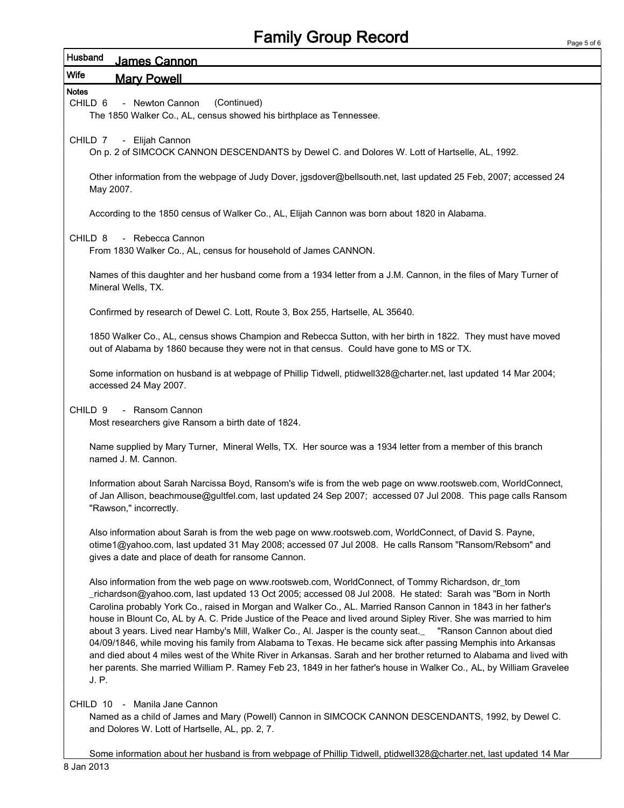## Family Group Record

| Husband<br>James Cannon                                                                                                                                                                                                                                                                                                                                                                                                                                                                                                                                                                                                                                                                                                                                                                                                                                                                                                                           |
|---------------------------------------------------------------------------------------------------------------------------------------------------------------------------------------------------------------------------------------------------------------------------------------------------------------------------------------------------------------------------------------------------------------------------------------------------------------------------------------------------------------------------------------------------------------------------------------------------------------------------------------------------------------------------------------------------------------------------------------------------------------------------------------------------------------------------------------------------------------------------------------------------------------------------------------------------|
| <b>Wife</b><br><b>Mary Powell</b>                                                                                                                                                                                                                                                                                                                                                                                                                                                                                                                                                                                                                                                                                                                                                                                                                                                                                                                 |
| <b>Notes</b><br>(Continued)<br>- Newton Cannon<br>CHILD <sub>6</sub><br>The 1850 Walker Co., AL, census showed his birthplace as Tennessee.                                                                                                                                                                                                                                                                                                                                                                                                                                                                                                                                                                                                                                                                                                                                                                                                       |
| - Elijah Cannon<br>CHILD 7<br>On p. 2 of SIMCOCK CANNON DESCENDANTS by Dewel C. and Dolores W. Lott of Hartselle, AL, 1992.                                                                                                                                                                                                                                                                                                                                                                                                                                                                                                                                                                                                                                                                                                                                                                                                                       |
| Other information from the webpage of Judy Dover, jgsdover@bellsouth.net, last updated 25 Feb, 2007; accessed 24<br>May 2007.                                                                                                                                                                                                                                                                                                                                                                                                                                                                                                                                                                                                                                                                                                                                                                                                                     |
| According to the 1850 census of Walker Co., AL, Elijah Cannon was born about 1820 in Alabama.                                                                                                                                                                                                                                                                                                                                                                                                                                                                                                                                                                                                                                                                                                                                                                                                                                                     |
| CHILD <sub>8</sub><br>- Rebecca Cannon<br>From 1830 Walker Co., AL, census for household of James CANNON.                                                                                                                                                                                                                                                                                                                                                                                                                                                                                                                                                                                                                                                                                                                                                                                                                                         |
| Names of this daughter and her husband come from a 1934 letter from a J.M. Cannon, in the files of Mary Turner of<br>Mineral Wells, TX.                                                                                                                                                                                                                                                                                                                                                                                                                                                                                                                                                                                                                                                                                                                                                                                                           |
| Confirmed by research of Dewel C. Lott, Route 3, Box 255, Hartselle, AL 35640.                                                                                                                                                                                                                                                                                                                                                                                                                                                                                                                                                                                                                                                                                                                                                                                                                                                                    |
| 1850 Walker Co., AL, census shows Champion and Rebecca Sutton, with her birth in 1822. They must have moved<br>out of Alabama by 1860 because they were not in that census. Could have gone to MS or TX.                                                                                                                                                                                                                                                                                                                                                                                                                                                                                                                                                                                                                                                                                                                                          |
| Some information on husband is at webpage of Phillip Tidwell, ptidwell328@charter.net, last updated 14 Mar 2004;<br>accessed 24 May 2007.                                                                                                                                                                                                                                                                                                                                                                                                                                                                                                                                                                                                                                                                                                                                                                                                         |
| CHILD <sub>9</sub><br>- Ransom Cannon<br>Most researchers give Ransom a birth date of 1824.                                                                                                                                                                                                                                                                                                                                                                                                                                                                                                                                                                                                                                                                                                                                                                                                                                                       |
| Name supplied by Mary Turner, Mineral Wells, TX. Her source was a 1934 letter from a member of this branch<br>named J. M. Cannon.                                                                                                                                                                                                                                                                                                                                                                                                                                                                                                                                                                                                                                                                                                                                                                                                                 |
| Information about Sarah Narcissa Boyd, Ransom's wife is from the web page on www.rootsweb.com, WorldConnect,<br>of Jan Allison, beachmouse@gultfel.com, last updated 24 Sep 2007; accessed 07 Jul 2008. This page calls Ransom<br>"Rawson," incorrectly.                                                                                                                                                                                                                                                                                                                                                                                                                                                                                                                                                                                                                                                                                          |
| Also information about Sarah is from the web page on www.rootsweb.com, WorldConnect, of David S. Payne,<br>otime1@yahoo.com, last updated 31 May 2008; accessed 07 Jul 2008. He calls Ransom "Ransom/Rebsom" and<br>gives a date and place of death for ransome Cannon.                                                                                                                                                                                                                                                                                                                                                                                                                                                                                                                                                                                                                                                                           |
| Also information from the web page on www.rootsweb.com, WorldConnect, of Tommy Richardson, dr_tom<br>richardson@yahoo.com, last updated 13 Oct 2005; accessed 08 Jul 2008. He stated: Sarah was "Born in North_<br>Carolina probably York Co., raised in Morgan and Walker Co., AL. Married Ranson Cannon in 1843 in her father's<br>house in Blount Co, AL by A. C. Pride Justice of the Peace and lived around Sipley River. She was married to him<br>about 3 years. Lived near Hamby's Mill, Walker Co., Al. Jasper is the county seat.<br>"Ranson Cannon about died<br>04/09/1846, while moving his family from Alabama to Texas. He became sick after passing Memphis into Arkansas<br>and died about 4 miles west of the White River in Arkansas. Sarah and her brother returned to Alabama and lived with<br>her parents. She married William P. Ramey Feb 23, 1849 in her father's house in Walker Co., AL, by William Gravelee<br>J. P. |
| CHILD 10 - Manila Jane Cannon<br>Named as a child of James and Mary (Powell) Cannon in SIMCOCK CANNON DESCENDANTS, 1992, by Dewel C.<br>and Dolores W. Lott of Hartselle, AL, pp. 2, 7.                                                                                                                                                                                                                                                                                                                                                                                                                                                                                                                                                                                                                                                                                                                                                           |

Some information about her husband is from webpage of Phillip Tidwell, ptidwell328@charter.net, last updated 14 Mar